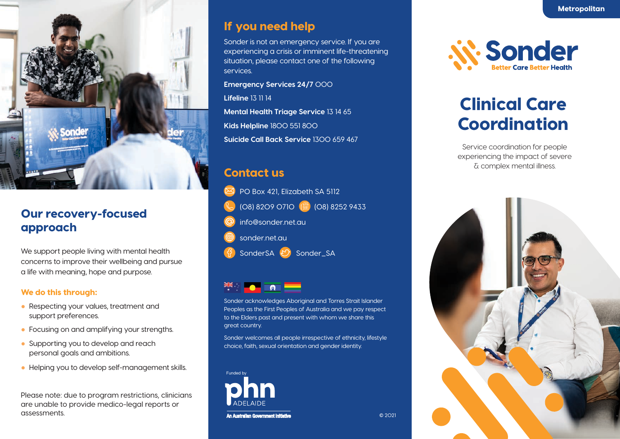

# Our recovery-focused approach

We support people living with mental health concerns to improve their wellbeing and pursue a life with meaning, hope and purpose.

#### We do this through:

- Respecting your values, treatment and support preferences.
- Focusing on and amplifying your strengths.
- Supporting you to develop and reach personal goals and ambitions.
- Helping you to develop self-management skills.

Please note: due to program restrictions, clinicians are unable to provide medico-legal reports or assessments.

### If you need help

Sonder is not an emergency service. If you are experiencing a crisis or imminent life-threatening situation, please contact one of the following services.

**Emergency Services 24/7** 000

**Lifeline** 13 11 14

**Mental Health Triage Service** 13 14 65 **Kids Helpline** 1800 551 800 **Suicide Call Back Service** 1300 659 467

## Contact us

PO Box 421, Elizabeth SA 5112 (08) 8209 0710 (a) (08) 8252 9433 info@sonder.net.au sonder.net.au SonderSA  $\bigcirc$  Sonder\_SA



Sonder acknowledges Aboriginal and Torres Strait Islander Peoples as the First Peoples of Australia and we pay respect to the Elders past and present with whom we share this great country.

Sonder welcomes all people irrespective of ethnicity, lifestyle choice, faith, sexual orientation and gender identity.

© 2021



*N. Sonder* 

# Clinical Care Coordination

Service coordination for people experiencing the impact of severe & complex mental illness.